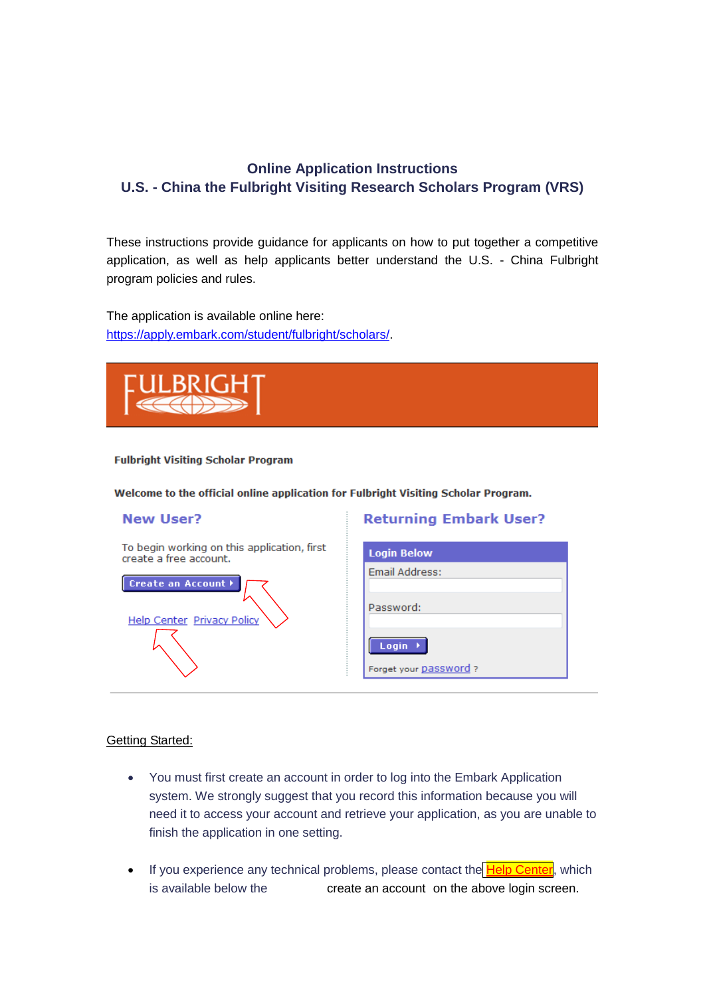## **Online Application Instructions U.S. - China the Fulbright Visiting Research Scholars Program (VRS)**

These instructions provide guidance for applicants on how to put together a competitive application, as well as help applicants better understand the U.S. - China Fulbright program policies and rules.

The application is available online here: [https://apply.embark.com/student/fulbright/scholars/.](https://apply.embark.com/student/fulbright/scholars/)



#### **Fulbright Visiting Scholar Program**

Welcome to the official online application for Fulbright Visiting Scholar Program.

#### **New User?**

**Returning Embark User?** 

| To begin working on this application, first<br>create a free account. | <b>Login Below</b>    |
|-----------------------------------------------------------------------|-----------------------|
| Create an Account ▶                                                   | Email Address:        |
| Help Center Privacy Policy                                            | Password:             |
|                                                                       | Login $\rightarrow$   |
|                                                                       | Forget your password? |

#### Getting Started:

- You must first create an account in order to log into the Embark Application system. We strongly suggest that you record this information because you will need it to access your account and retrieve your application, as you are unable to finish the application in one setting.
- If you experience any technical problems, please contact the Help Center, which is available below the button of create an account on the above login screen.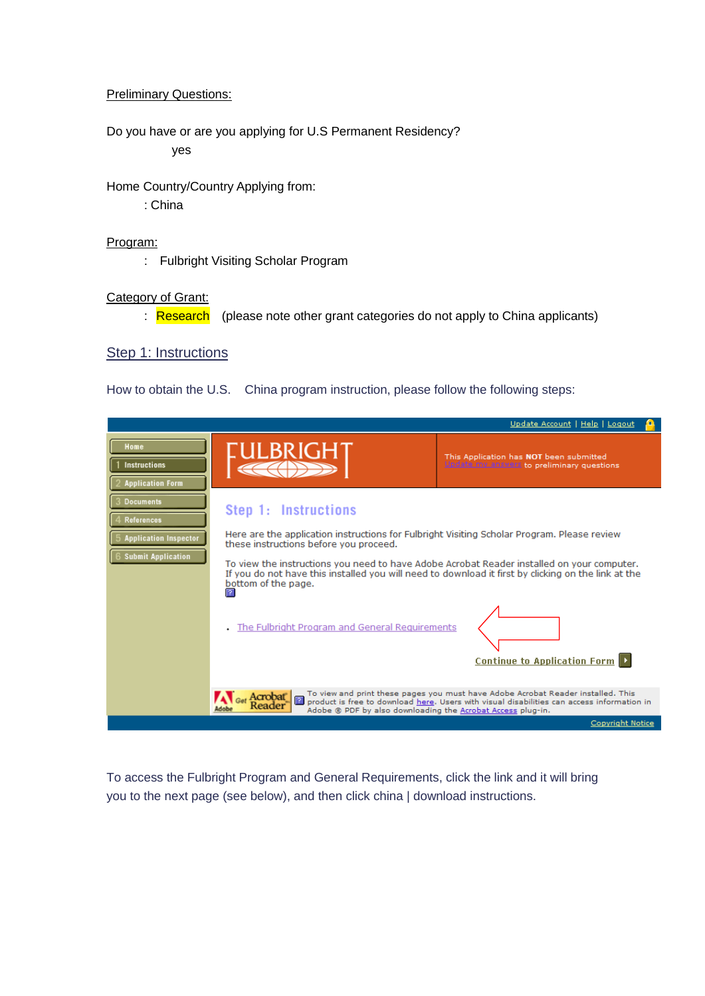#### Preliminary Questions:

Do you have or are you applying for U.S Permanent Residency?  $yes$ 

Home Country/Country Applying from:

请选择: China

#### Program:

: Fulbright Visiting Scholar Program

#### Category of Grant:

: Research (please note other grant categories do not apply to China applicants)

#### Step 1: Instructions

How to obtain the U.S. China program instruction, please follow the following steps:

|                                                                                             |                                                                                                                                                                                                                                                                                                                                                                                           | Update Account   Help   Logout                                                                                                                                                 |
|---------------------------------------------------------------------------------------------|-------------------------------------------------------------------------------------------------------------------------------------------------------------------------------------------------------------------------------------------------------------------------------------------------------------------------------------------------------------------------------------------|--------------------------------------------------------------------------------------------------------------------------------------------------------------------------------|
| Home<br><b>Instructions</b><br><b>Application Form</b>                                      | ULBRIGH                                                                                                                                                                                                                                                                                                                                                                                   | This Application has NOT been submitted<br>Update my answers to preliminary questions                                                                                          |
| Documents<br><b>References</b><br><b>Application Inspector</b><br><b>Submit Application</b> | Step 1: Instructions<br>Here are the application instructions for Fulbright Visiting Scholar Program. Please review<br>these instructions before you proceed.<br>To view the instructions you need to have Adobe Acrobat Reader installed on your computer.<br>If you do not have this installed you will need to download it first by clicking on the link at the<br>bottom of the page. |                                                                                                                                                                                |
|                                                                                             | 12.<br>The Fulbright Program and General Requirements                                                                                                                                                                                                                                                                                                                                     | <b>Continue to Application Form D</b>                                                                                                                                          |
|                                                                                             | Acrobat<br>Adobe ® PDF by also downloading the Acrobat Access plug-in.                                                                                                                                                                                                                                                                                                                    | To view and print these pages you must have Adobe Acrobat Reader installed. This<br>product is free to download here. Users with visual disabilities can access information in |
|                                                                                             |                                                                                                                                                                                                                                                                                                                                                                                           | Copyright Notice                                                                                                                                                               |

To access the Fulbright Program and General Requirements, click the link and it will bring you to the next page (see below), and then click china | download instructions.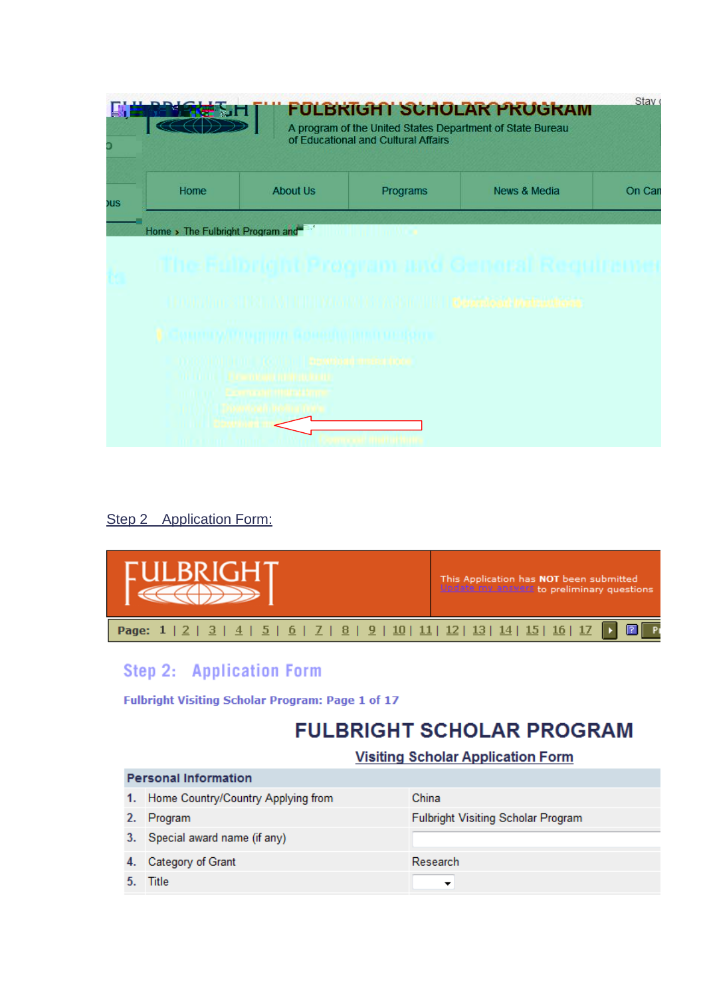

## Step 2 Application Form:



# Step 2: Application Form

Fulbright Visiting Scholar Program: Page 1 of 17

# **FULBRIGHT SCHOLAR PROGRAM**

### **Visiting Scholar Application Form**

|    | <b>Personal Information</b>           |                                           |  |  |  |
|----|---------------------------------------|-------------------------------------------|--|--|--|
|    | 1. Home Country/Country Applying from | China                                     |  |  |  |
| 2. | Program                               | <b>Fulbright Visiting Scholar Program</b> |  |  |  |
|    | 3. Special award name (if any)        |                                           |  |  |  |
| 4. | Category of Grant                     | Research                                  |  |  |  |
|    | Title                                 |                                           |  |  |  |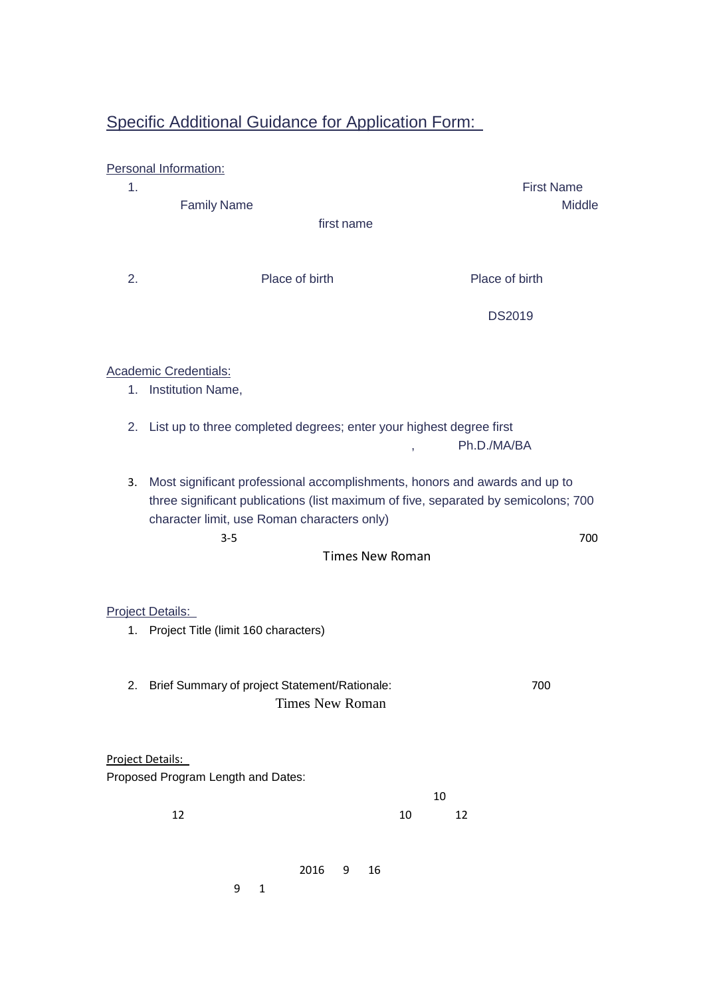# Specific Additional Guidance for Application Form:

|    | Personal Information:                                                                                                                                                                                                                                |                   |
|----|------------------------------------------------------------------------------------------------------------------------------------------------------------------------------------------------------------------------------------------------------|-------------------|
| 1. |                                                                                                                                                                                                                                                      | <b>First Name</b> |
|    | <b>Family Name</b>                                                                                                                                                                                                                                   | <b>Middle</b>     |
|    | first name                                                                                                                                                                                                                                           |                   |
|    |                                                                                                                                                                                                                                                      |                   |
| 2. | Place of birth                                                                                                                                                                                                                                       | Place of birth    |
|    |                                                                                                                                                                                                                                                      | <b>DS2019</b>     |
|    | <b>Academic Credentials:</b>                                                                                                                                                                                                                         |                   |
| 1. | Institution Name,                                                                                                                                                                                                                                    |                   |
|    | 2. List up to three completed degrees; enter your highest degree first                                                                                                                                                                               |                   |
|    | Ph.D./MA/BA<br>$\overline{\phantom{a}}$                                                                                                                                                                                                              |                   |
| 3. | Most significant professional accomplishments, honors and awards and up to<br>three significant publications (list maximum of five, separated by semicolons; 700<br>character limit, use Roman characters only)<br>$3 - 5$<br><b>Times New Roman</b> | 700               |
|    | <b>Project Details:</b>                                                                                                                                                                                                                              |                   |
|    | 1. Project Title (limit 160 characters)                                                                                                                                                                                                              |                   |
| 2. | Brief Summary of project Statement/Rationale:<br><b>Times New Roman</b>                                                                                                                                                                              | 700               |
|    | Project Details:<br>Proposed Program Length and Dates:                                                                                                                                                                                               |                   |
|    | 10                                                                                                                                                                                                                                                   |                   |
|    | 12<br>10<br>12                                                                                                                                                                                                                                       |                   |
|    |                                                                                                                                                                                                                                                      |                   |
|    | 2016<br>16<br>9<br>9<br>$\mathbf{1}$                                                                                                                                                                                                                 |                   |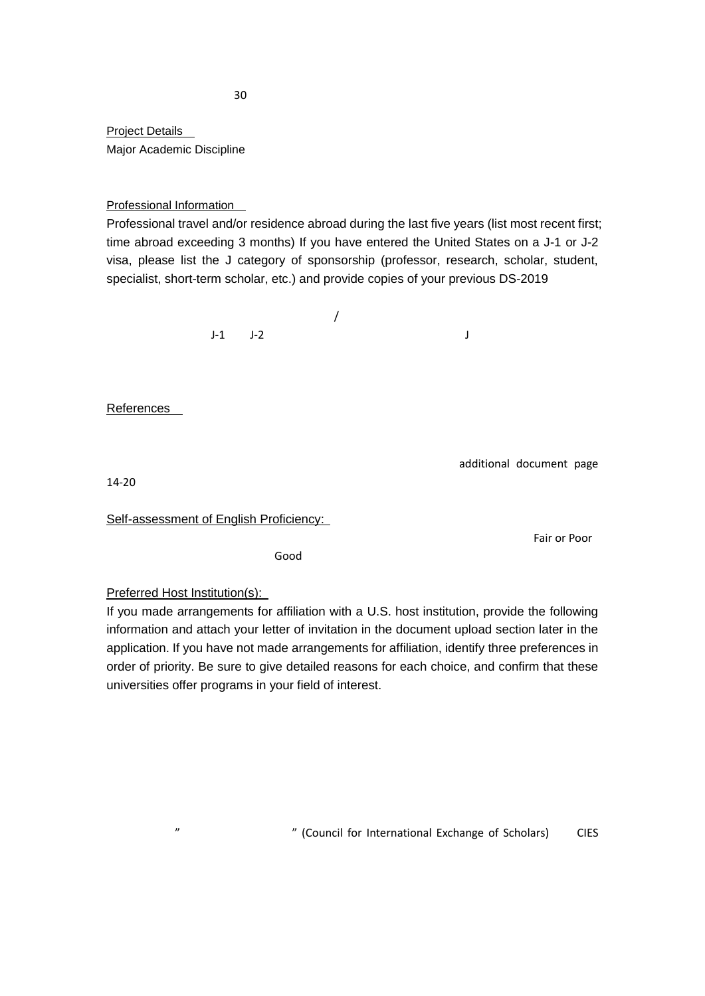**Project Details** Major Academic Discipline

#### Professional Information

Professional travel and/or residence abroad during the last five years (list most recent first; time abroad exceeding 3 months) If you have entered the United States on a J-1 or J-2 visa, please list the J category of sponsorship (professor, research, scholar, student, specialist, short-term scholar, etc.) and [provide copies of your previous DS-2019](http://apply.embcondev.com/student/fulbright/scholars/30/Page.asp?Page=12)

 $\sqrt{a}$  $J-1$   $J-2$   $J$ 

References

additional document page

 $14 - 20$ 

Self-assessment of English Proficiency:

 $\mathsf{Good}$ 

Fair or Poor

Preferred Host Institution(s):

If you made arrangements for affiliation with a U.S. host institution, provide the following information and attach your letter of invitation in the document upload section later in the application. If you have not made arrangements for affiliation, identify three preferences in order of priority. Be sure to give detailed reasons for each choice, and confirm that these universities offer programs in your field of interest.

"
(Council for International Exchange of Scholars) CIES

 $30$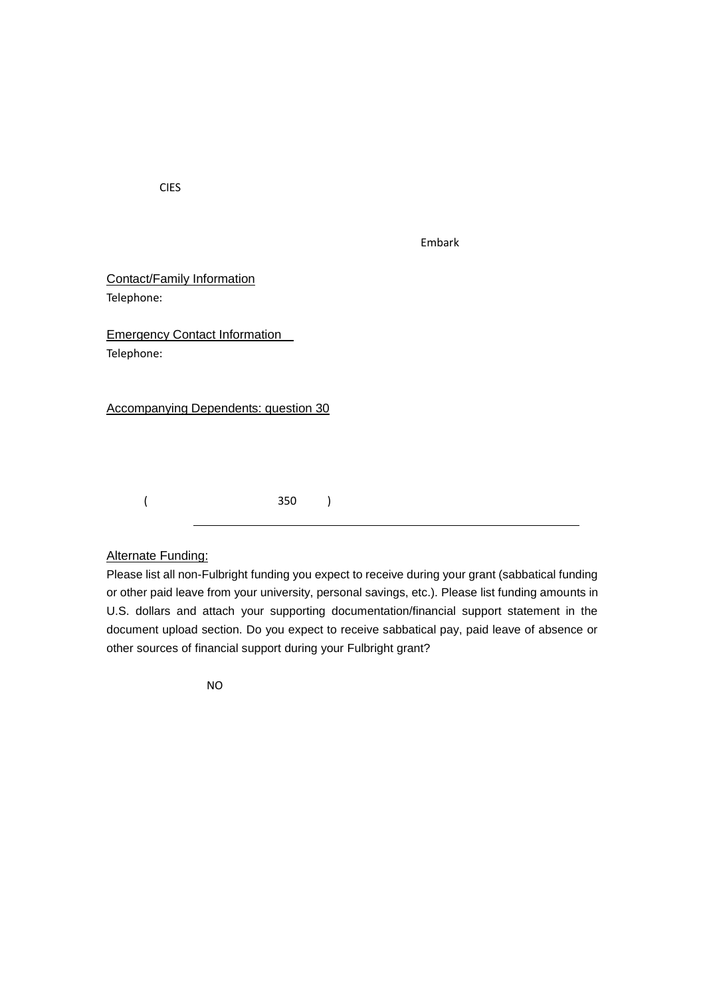无论选择 CIES 还是自己联系美国接待院校 请务必填写完整大学、院系和相关教授的信息。

| Embark<br>$   -$ |  |
|------------------|--|
|------------------|--|

Contact/Family Information Telephone:

Emergency Contact Information Telephone:

Accompanying Dependents: question 30

 $($  and  $350$   $)$ 

#### Alternate Funding:

Please list all non-Fulbright funding you expect to receive during your grant (sabbatical funding or other paid leave from your university, personal savings, etc.). Please list funding amounts in U.S. dollars and attach your supporting documentation/financial support statement in the document upload section. Do you expect to receive sabbatical pay, paid leave of absence or other sources of financial support during your Fulbright grant?

 $N$ O $\alpha$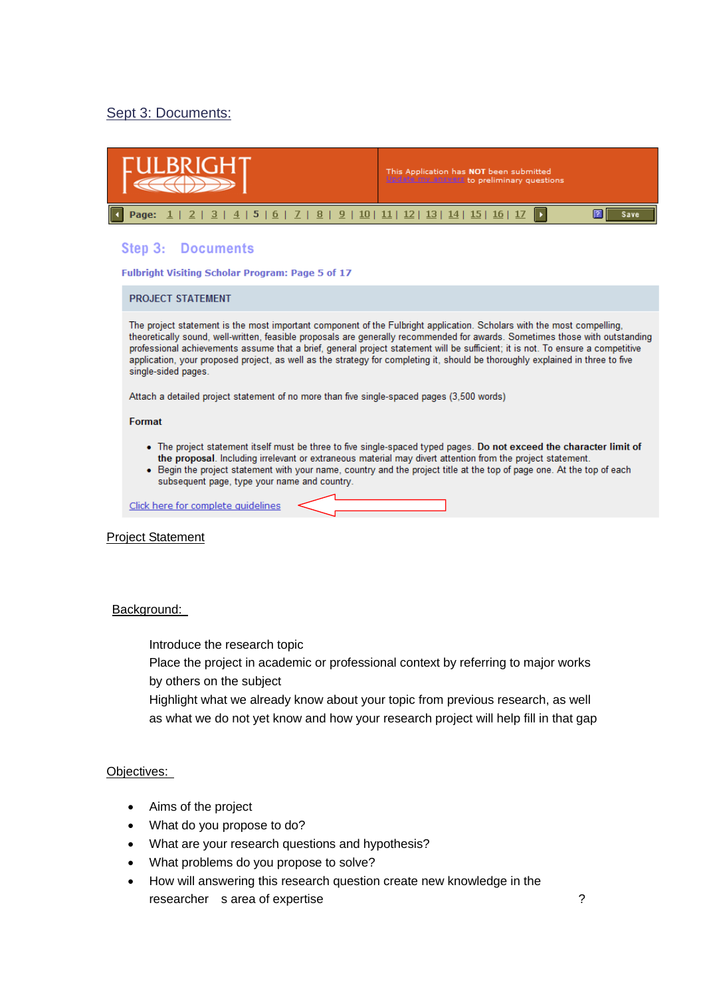#### Sept 3: Documents:

| LBRIGH                                                                                                                                                                                                                                                                                                                                                                                                                                                                                                                                             | This Application has NOT been submitted<br>pdate my answers to preliminary questions           |  |  |  |  |
|----------------------------------------------------------------------------------------------------------------------------------------------------------------------------------------------------------------------------------------------------------------------------------------------------------------------------------------------------------------------------------------------------------------------------------------------------------------------------------------------------------------------------------------------------|------------------------------------------------------------------------------------------------|--|--|--|--|
| $8$  <br>5   6   7  <br>$\overline{4}$<br>3<br>Page:                                                                                                                                                                                                                                                                                                                                                                                                                                                                                               | $9   10   11   12   13   14   15   16   17$<br>$\blacksquare$<br>$\blacktriangleright$<br>Save |  |  |  |  |
| Step 3: Documents<br><b>Fulbright Visiting Scholar Program: Page 5 of 17</b>                                                                                                                                                                                                                                                                                                                                                                                                                                                                       |                                                                                                |  |  |  |  |
| <b>PROJECT STATEMENT</b>                                                                                                                                                                                                                                                                                                                                                                                                                                                                                                                           |                                                                                                |  |  |  |  |
| The project statement is the most important component of the Fulbright application. Scholars with the most compelling,<br>theoretically sound, well-written, feasible proposals are generally recommended for awards. Sometimes those with outstanding<br>professional achievements assume that a brief, general project statement will be sufficient; it is not. To ensure a competitive<br>application, your proposed project, as well as the strategy for completing it, should be thoroughly explained in three to five<br>single-sided pages. |                                                                                                |  |  |  |  |
| Attach a detailed project statement of no more than five single-spaced pages (3,500 words)                                                                                                                                                                                                                                                                                                                                                                                                                                                         |                                                                                                |  |  |  |  |
| Format                                                                                                                                                                                                                                                                                                                                                                                                                                                                                                                                             |                                                                                                |  |  |  |  |
| • The project statement itself must be three to five single-spaced typed pages. Do not exceed the character limit of<br>the proposal. Including irrelevant or extraneous material may divert attention from the project statement.<br>• Begin the project statement with your name, country and the project title at the top of page one. At the top of each<br>subsequent page, type your name and country.                                                                                                                                       |                                                                                                |  |  |  |  |

Click here for complete quidelines

#### Project Statement

#### Background:

Introduce the research topic

Place the project in academic or professional context by referring to major works by others on the subject

Highlight what we already know about your topic from previous research, as well as what we do not yet know and how your research project will help fill in that gap

#### Objectives:

- $\bullet$  Aims of the project
- What do you propose to do?
- What are your research questions and hypothesis?
- What problems do you propose to solve?
- How will answering this research question create new knowledge in the researcher s area of expertise **Department of the STS** and 2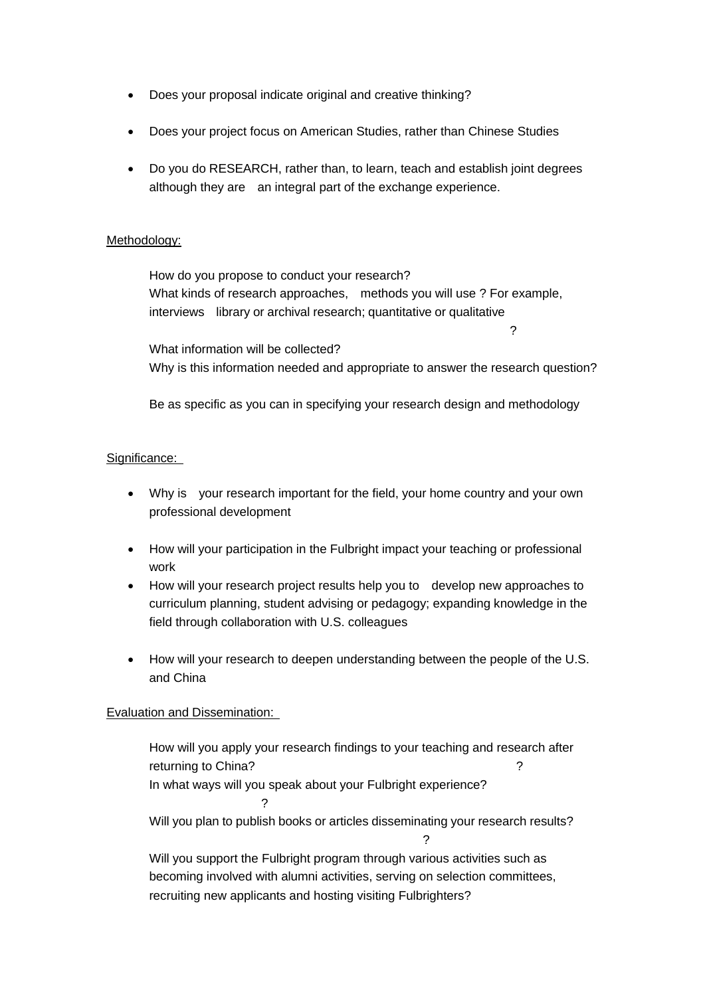- Does your proposal indicate original and creative thinking?
- Does your project focus on American Studies, rather than Chinese Studies
- Do you do RESEARCH, rather than, to learn, teach and establish joint degrees although they are an integral part of the exchange experience.

#### Methodology:

How do you propose to conduct your research? What kinds of research approaches, methods you will use ? For example, interviews library or archival research; quantitative or qualitative

究方法:采访,图书馆或档案馆查询收集资料,量化还是质化研究?

What information will be collected? Why is this information needed and appropriate to answer the research question?

Be as specific as you can in specifying your research design and methodology

#### Significance:

- Why is your research important for the field, your home country and your own professional development
- How will your participation in the Fulbright impact your teaching or professional work  $\blacksquare$
- How will your research project results help you to develop new approaches to curriculum planning, student advising or pedagogy; expanding knowledge in the field through collaboration with U.S. colleagues
- How will your research to deepen understanding between the people of the U.S. and China

#### Evaluation and Dissemination:

How will you apply your research findings to your teaching and research after returning to China? 回国后怎样在教学和研究中运用您的研究成果? In what ways will you speak about your Fulbright experience? 讲您的富布赖特经历? Will you plan to publish books or articles disseminating your research results? 是否计划将您的富布赖特研究成果出版或发表文章? Will you support the Fulbright program through various activities such as becoming involved with alumni activities, serving on selection committees, recruiting new applicants and hosting visiting Fulbrighters?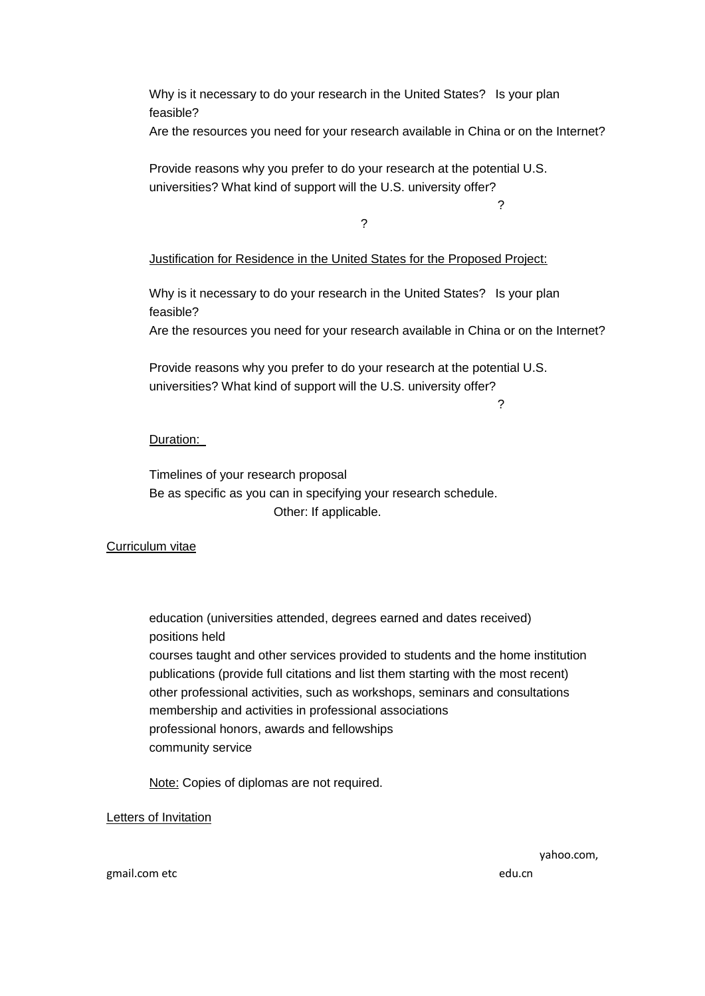Why is it necessary to do your research in the United States? Is your plan feasible?

Are the resources you need for your research available in China or on the Internet?

Provide reasons why you prefer to do your research at the potential U.S. universities? What kind of support will the U.S. university offer?

美国大学做研究的理由及该校能够为您的研究计划提供哪些支持?

Justification for Residence in the United States for the Proposed Project:

式的活动或行为继续支持富布赖特项目?

Why is it necessary to do your research in the United States? Is your plan feasible?

Are the resources you need for your research available in China or on the Internet?

Provide reasons why you prefer to do your research at the potential U.S. universities? What kind of support will the U.S. university offer?

美国大学做研究的理由及该校能够为您的研究计划提供哪些支持?

#### Duration:

Timelines of your research proposal Be as specific as you can in specifying your research schedule. Other: If applicable.

#### Curriculum vitae

education (universities attended, degrees earned and dates received) positions held courses taught and other services provided to students and the home institution publications (provide full citations and list them starting with the most recent) other professional activities, such as workshops, seminars and consultations membership and activities in professional associations professional honors, awards and fellowships community service

Note: Copies of diplomas are not required.

Letters of Invitation

yahoo.com,

gmail.com etc when we have seen when we have redu.cn  $R$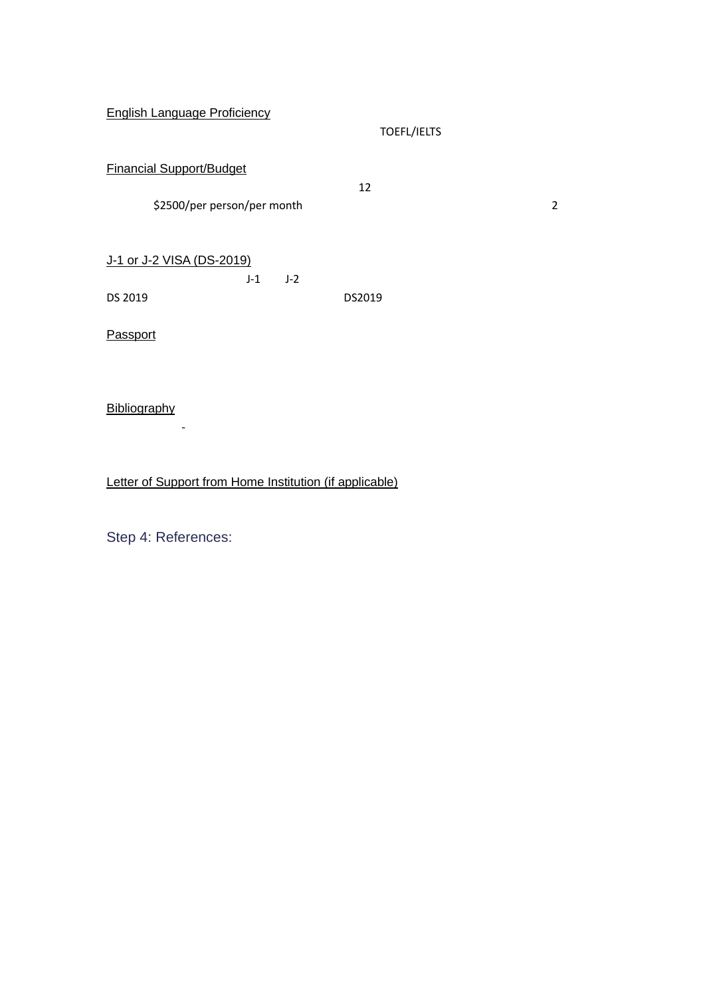English Language Proficiency

TOEFL/IELTS

| <b>Financial Support/Budget</b> |  |  |
|---------------------------------|--|--|
|                                 |  |  |

 $$2500/per$  person/per month

 $12$ 

请上传一份1-3页的与您的富布赖特研究课题有关的参考书目。如果有中文参考书籍,请

|  |  | J-1 or J-2 VISA (DS-2019) |  |
|--|--|---------------------------|--|
|  |  |                           |  |

|         | $J-1$ $J-2$ |        |  |
|---------|-------------|--------|--|
| DS 2019 |             | DS2019 |  |

Passport

**Bibliography** 

Letter of Support from Home Institution (if applicable)

Step 4: References: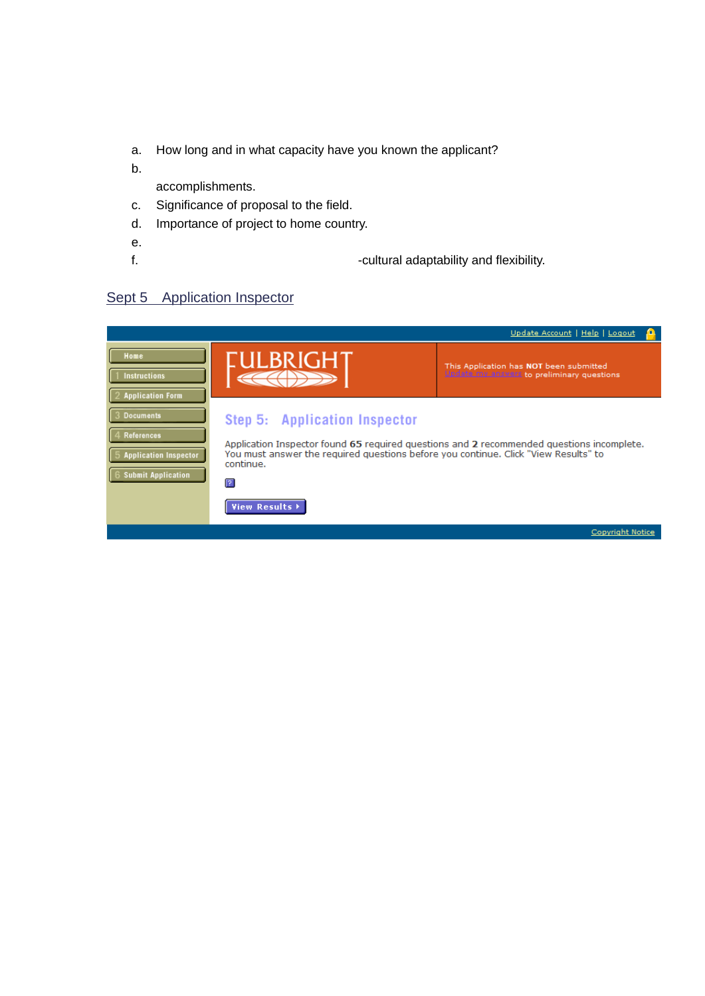- a. How long and in what capacity have you known the applicant?
- $b.$

accomplishments.

- c. Significance of proposal to the field.
- d. Importance of project to home country.
- e. Relevance of applicant to applicant the previous research and training to project.
- f. Please a please a please and the applicant term of the applicant term in the applicant term in the applicant term in the applicant term in the applicant term in the applicant term in the application of the application o

# Sept 5 Application Inspector

|                                                                                          |                                                                                                                                                                                                                                     | Update Account   Help   Logout                                                        |
|------------------------------------------------------------------------------------------|-------------------------------------------------------------------------------------------------------------------------------------------------------------------------------------------------------------------------------------|---------------------------------------------------------------------------------------|
| Home<br>1 Instructions<br>2 Application Form                                             | IULBRIGHT                                                                                                                                                                                                                           | This Application has NOT been submitted<br>Update my answers to preliminary questions |
| 3 Documents<br>4 References<br><b>Application Inspector</b><br><b>Submit Application</b> | Step 5: Application Inspector<br>Application Inspector found 65 required questions and 2 recommended questions incomplete.<br>You must answer the required questions before you continue. Click "View Results" to<br>continue.<br>╔ |                                                                                       |
|                                                                                          | View Results >                                                                                                                                                                                                                      |                                                                                       |
|                                                                                          |                                                                                                                                                                                                                                     | Copyright Notice                                                                      |